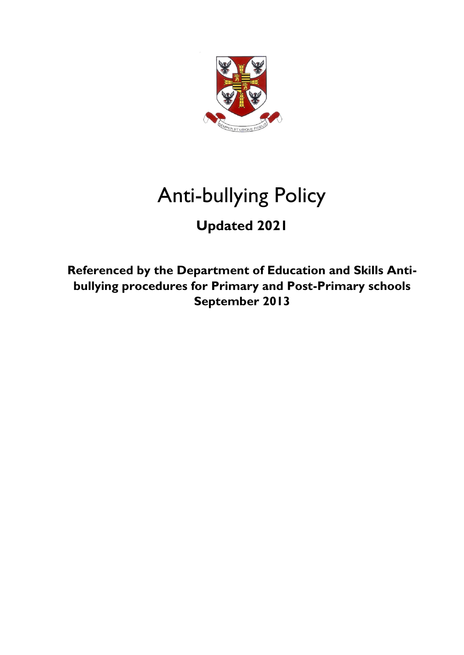

# Anti-bullying Policy

## **Updated 2021**

**Referenced by the Department of Education and Skills Antibullying procedures for Primary and Post-Primary schools September 2013**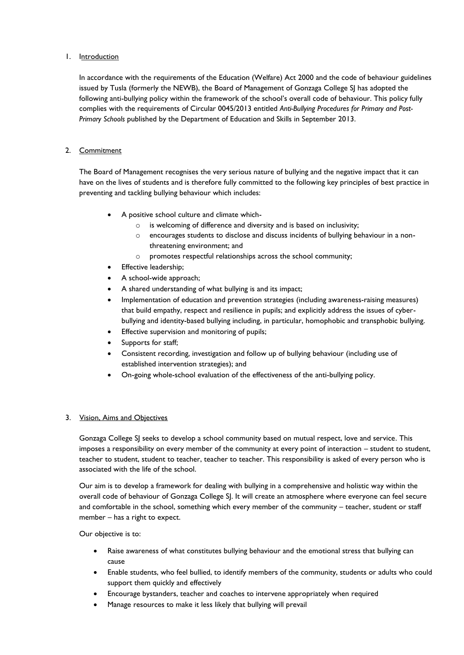## 1. Introduction

In accordance with the requirements of the Education (Welfare) Act 2000 and the code of behaviour guidelines issued by Tusla (formerly the NEWB), the Board of Management of Gonzaga College SJ has adopted the following anti-bullying policy within the framework of the school's overall code of behaviour. This policy fully complies with the requirements of Circular 0045/2013 entitled *Anti-Bullying Procedures for Primary and Post-Primary Schools* published by the Department of Education and Skills in September 2013.

## 2. Commitment

The Board of Management recognises the very serious nature of bullying and the negative impact that it can have on the lives of students and is therefore fully committed to the following key principles of best practice in preventing and tackling bullying behaviour which includes:

- A positive school culture and climate which
	- o is welcoming of difference and diversity and is based on inclusivity;
	- o encourages students to disclose and discuss incidents of bullying behaviour in a nonthreatening environment; and
	- o promotes respectful relationships across the school community;
- Effective leadership;
- A school-wide approach;
- A shared understanding of what bullying is and its impact;
- Implementation of education and prevention strategies (including awareness-raising measures) that build empathy, respect and resilience in pupils; and explicitly address the issues of cyberbullying and identity-based bullying including, in particular, homophobic and transphobic bullying.
- Effective supervision and monitoring of pupils;
- Supports for staff;
- Consistent recording, investigation and follow up of bullying behaviour (including use of established intervention strategies); and
- On-going whole-school evaluation of the effectiveness of the anti-bullying policy.

## 3. Vision, Aims and Objectives

Gonzaga College SJ seeks to develop a school community based on mutual respect, love and service. This imposes a responsibility on every member of the community at every point of interaction – student to student, teacher to student, student to teacher, teacher to teacher. This responsibility is asked of every person who is associated with the life of the school.

Our aim is to develop a framework for dealing with bullying in a comprehensive and holistic way within the overall code of behaviour of Gonzaga College SJ. It will create an atmosphere where everyone can feel secure and comfortable in the school, something which every member of the community – teacher, student or staff member – has a right to expect.

Our objective is to:

- Raise awareness of what constitutes bullying behaviour and the emotional stress that bullying can cause
- Enable students, who feel bullied, to identify members of the community, students or adults who could support them quickly and effectively
- Encourage bystanders, teacher and coaches to intervene appropriately when required
- Manage resources to make it less likely that bullying will prevail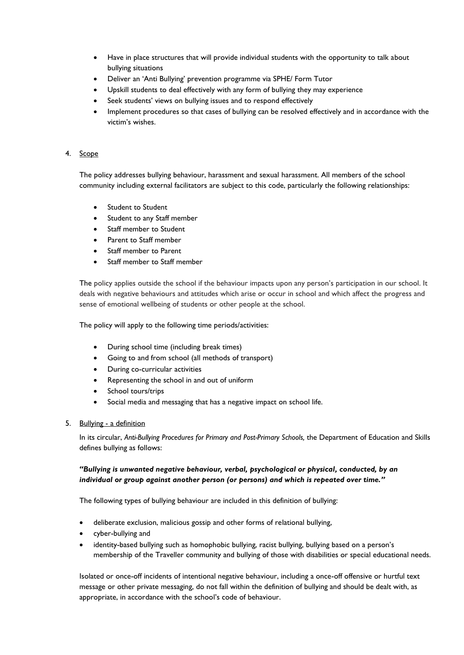- Have in place structures that will provide individual students with the opportunity to talk about bullying situations
- Deliver an 'Anti Bullying' prevention programme via SPHE/ Form Tutor
- Upskill students to deal effectively with any form of bullying they may experience
- Seek students' views on bullying issues and to respond effectively
- Implement procedures so that cases of bullying can be resolved effectively and in accordance with the victim's wishes.

## 4. Scope

The policy addresses bullying behaviour, harassment and sexual harassment. All members of the school community including external facilitators are subject to this code, particularly the following relationships:

- Student to Student
- Student to any Staff member
- Staff member to Student
- Parent to Staff member
- Staff member to Parent
- Staff member to Staff member

The policy applies outside the school if the behaviour impacts upon any person's participation in our school. It deals with negative behaviours and attitudes which arise or occur in school and which affect the progress and sense of emotional wellbeing of students or other people at the school.

The policy will apply to the following time periods/activities:

- During school time (including break times)
- Going to and from school (all methods of transport)
- During co-curricular activities
- Representing the school in and out of uniform
- School tours/trips
- Social media and messaging that has a negative impact on school life.

## 5. Bullying - a definition

In its circular, *Anti-Bullying Procedures for Primary and Post-Primary Schools,* the Department of Education and Skills defines bullying as follows:

## *"Bullying is unwanted negative behaviour, verbal, psychological or physical, conducted, by an individual or group against another person (or persons) and which is repeated over time."*

The following types of bullying behaviour are included in this definition of bullying:

- deliberate exclusion, malicious gossip and other forms of relational bullying,
- cyber-bullying and
- identity-based bullying such as homophobic bullying, racist bullying, bullying based on a person's membership of the Traveller community and bullying of those with disabilities or special educational needs.

Isolated or once-off incidents of intentional negative behaviour, including a once-off offensive or hurtful text message or other private messaging, do not fall within the definition of bullying and should be dealt with, as appropriate, in accordance with the school's code of behaviour.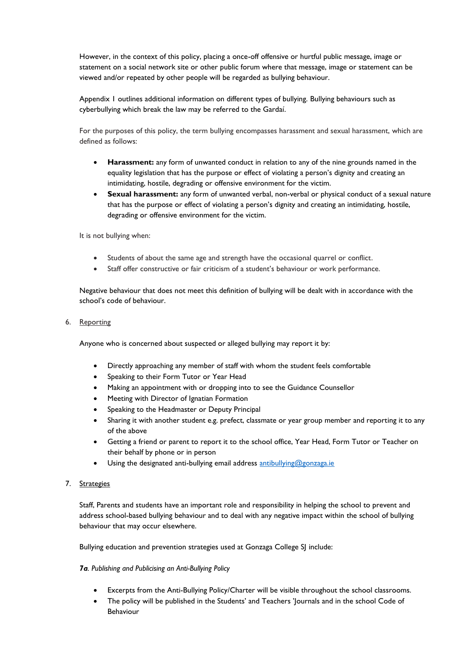However, in the context of this policy, placing a once-off offensive or hurtful public message, image or statement on a social network site or other public forum where that message, image or statement can be viewed and/or repeated by other people will be regarded as bullying behaviour.

Appendix 1 outlines additional information on different types of bullying. Bullying behaviours such as cyberbullying which break the law may be referred to the Gardaí.

For the purposes of this policy, the term bullying encompasses harassment and sexual harassment, which are defined as follows:

- **Harassment:** any form of unwanted conduct in relation to any of the nine grounds named in the equality legislation that has the purpose or effect of violating a person's dignity and creating an intimidating, hostile, degrading or offensive environment for the victim.
- **Sexual harassment:** any form of unwanted verbal, non-verbal or physical conduct of a sexual nature that has the purpose or effect of violating a person's dignity and creating an intimidating, hostile, degrading or offensive environment for the victim.

It is not bullying when:

- Students of about the same age and strength have the occasional quarrel or conflict.
- Staff offer constructive or fair criticism of a student's behaviour or work performance.

Negative behaviour that does not meet this definition of bullying will be dealt with in accordance with the school's code of behaviour.

6. Reporting

Anyone who is concerned about suspected or alleged bullying may report it by:

- Directly approaching any member of staff with whom the student feels comfortable
- Speaking to their Form Tutor or Year Head
- Making an appointment with or dropping into to see the Guidance Counsellor
- Meeting with Director of Ignatian Formation
- Speaking to the Headmaster or Deputy Principal
- Sharing it with another student e.g. prefect, classmate or year group member and reporting it to any of the above
- Getting a friend or parent to report it to the school office, Year Head, Form Tutor or Teacher on their behalf by phone or in person
- Using the designated anti-bullying email address [antibullying@gonzaga.ie](mailto:antibullying@gonzaga.ie)

## 7. Strategies

Staff, Parents and students have an important role and responsibility in helping the school to prevent and address school-based bullying behaviour and to deal with any negative impact within the school of bullying behaviour that may occur elsewhere.

Bullying education and prevention strategies used at Gonzaga College SJ include:

## *7a. Publishing and Publicising an Anti-Bullying Policy*

- Excerpts from the Anti-Bullying Policy/Charter will be visible throughout the school classrooms.
- The policy will be published in the Students' and Teachers 'Journals and in the school Code of Behaviour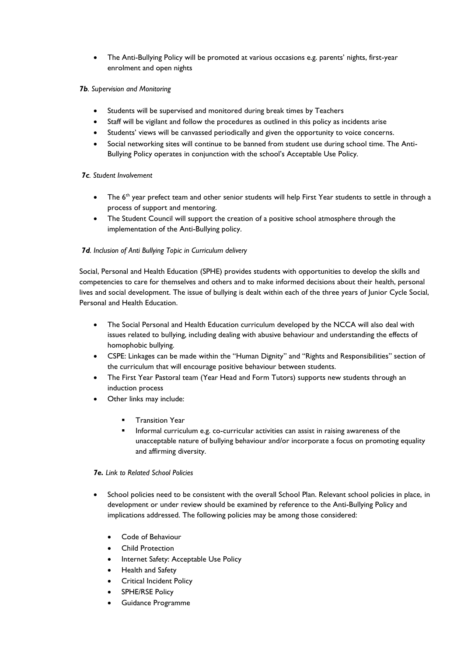• The Anti-Bullying Policy will be promoted at various occasions e.g. parents' nights, first-year enrolment and open nights

## *7b. Supervision and Monitoring*

- Students will be supervised and monitored during break times by Teachers
- Staff will be vigilant and follow the procedures as outlined in this policy as incidents arise
- Students' views will be canvassed periodically and given the opportunity to voice concerns.
- Social networking sites will continue to be banned from student use during school time. The Anti-Bullying Policy operates in conjunction with the school's Acceptable Use Policy.

## *7c. Student Involvement*

- The 6<sup>th</sup> year prefect team and other senior students will help First Year students to settle in through a process of support and mentoring.
- The Student Council will support the creation of a positive school atmosphere through the implementation of the Anti-Bullying policy.

## *7d. Inclusion of Anti Bullying Topic in Curriculum delivery*

Social, Personal and Health Education (SPHE) provides students with opportunities to develop the skills and competencies to care for themselves and others and to make informed decisions about their health, personal lives and social development. The issue of bullying is dealt within each of the three years of Junior Cycle Social, Personal and Health Education.

- The Social Personal and Health Education curriculum developed by the NCCA will also deal with issues related to bullying, including dealing with abusive behaviour and understanding the effects of homophobic bullying.
- CSPE: Linkages can be made within the "Human Dignity" and "Rights and Responsibilities" section of the curriculum that will encourage positive behaviour between students.
- The First Year Pastoral team (Year Head and Form Tutors) supports new students through an induction process
- Other links may include:
	- **Transition Year**
	- Informal curriculum e.g. co-curricular activities can assist in raising awareness of the unacceptable nature of bullying behaviour and/or incorporate a focus on promoting equality and affirming diversity.

## *7e. Link to Related School Policies*

- School policies need to be consistent with the overall School Plan. Relevant school policies in place, in development or under review should be examined by reference to the Anti-Bullying Policy and implications addressed. The following policies may be among those considered:
	- Code of Behaviour
	- Child Protection
	- Internet Safety: Acceptable Use Policy
	- Health and Safety
	- Critical Incident Policy
	- SPHE/RSE Policy
	- Guidance Programme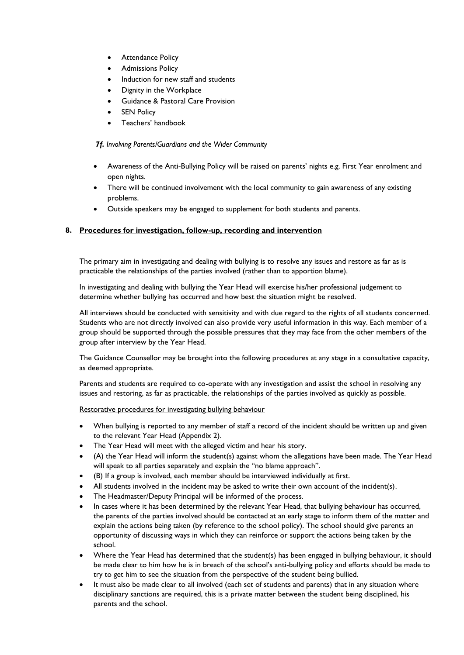- Attendance Policy
- Admissions Policy
- Induction for new staff and students
- Dignity in the Workplace
- Guidance & Pastoral Care Provision
- **SEN Policy**
- Teachers' handbook

*7f. Involving Parents/Guardians and the Wider Community*

- Awareness of the Anti-Bullying Policy will be raised on parents' nights e.g. First Year enrolment and open nights.
- There will be continued involvement with the local community to gain awareness of any existing problems.
- Outside speakers may be engaged to supplement for both students and parents.

## **8. Procedures for investigation, follow-up, recording and intervention**

The primary aim in investigating and dealing with bullying is to resolve any issues and restore as far as is practicable the relationships of the parties involved (rather than to apportion blame).

In investigating and dealing with bullying the Year Head will exercise his/her professional judgement to determine whether bullying has occurred and how best the situation might be resolved.

All interviews should be conducted with sensitivity and with due regard to the rights of all students concerned. Students who are not directly involved can also provide very useful information in this way. Each member of a group should be supported through the possible pressures that they may face from the other members of the group after interview by the Year Head.

The Guidance Counsellor may be brought into the following procedures at any stage in a consultative capacity, as deemed appropriate.

Parents and students are required to co-operate with any investigation and assist the school in resolving any issues and restoring, as far as practicable, the relationships of the parties involved as quickly as possible.

Restorative procedures for investigating bullying behaviour

- When bullying is reported to any member of staff a record of the incident should be written up and given to the relevant Year Head (Appendix 2).
- The Year Head will meet with the alleged victim and hear his story.
- (A) the Year Head will inform the student(s) against whom the allegations have been made. The Year Head will speak to all parties separately and explain the "no blame approach".
- (B) If a group is involved, each member should be interviewed individually at first.
- All students involved in the incident may be asked to write their own account of the incident(s).
- The Headmaster/Deputy Principal will be informed of the process.
- In cases where it has been determined by the relevant Year Head, that bullying behaviour has occurred, the parents of the parties involved should be contacted at an early stage to inform them of the matter and explain the actions being taken (by reference to the school policy). The school should give parents an opportunity of discussing ways in which they can reinforce or support the actions being taken by the school.
- Where the Year Head has determined that the student(s) has been engaged in bullying behaviour, it should be made clear to him how he is in breach of the school's anti-bullying policy and efforts should be made to try to get him to see the situation from the perspective of the student being bullied.
- It must also be made clear to all involved (each set of students and parents) that in any situation where disciplinary sanctions are required, this is a private matter between the student being disciplined, his parents and the school.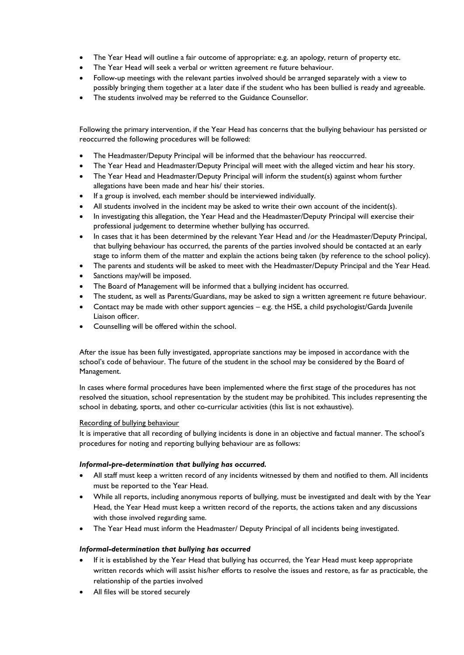- The Year Head will outline a fair outcome of appropriate: e.g. an apology, return of property etc.
- The Year Head will seek a verbal or written agreement re future behaviour.
- Follow-up meetings with the relevant parties involved should be arranged separately with a view to possibly bringing them together at a later date if the student who has been bullied is ready and agreeable.
- The students involved may be referred to the Guidance Counsellor.

Following the primary intervention, if the Year Head has concerns that the bullying behaviour has persisted or reoccurred the following procedures will be followed:

- The Headmaster/Deputy Principal will be informed that the behaviour has reoccurred.
- The Year Head and Headmaster/Deputy Principal will meet with the alleged victim and hear his story.
- The Year Head and Headmaster/Deputy Principal will inform the student(s) against whom further allegations have been made and hear his/ their stories.
- If a group is involved, each member should be interviewed individually.
- All students involved in the incident may be asked to write their own account of the incident(s).
- In investigating this allegation, the Year Head and the Headmaster/Deputy Principal will exercise their professional judgement to determine whether bullying has occurred.
- In cases that it has been determined by the relevant Year Head and /or the Headmaster/Deputy Principal, that bullying behaviour has occurred, the parents of the parties involved should be contacted at an early stage to inform them of the matter and explain the actions being taken (by reference to the school policy).
- The parents and students will be asked to meet with the Headmaster/Deputy Principal and the Year Head.
- Sanctions may/will be imposed.
- The Board of Management will be informed that a bullying incident has occurred.
- The student, as well as Parents/Guardians, may be asked to sign a written agreement re future behaviour.
- Contact may be made with other support agencies e.g. the HSE, a child psychologist/Garda Juvenile Liaison officer.
- Counselling will be offered within the school.

After the issue has been fully investigated, appropriate sanctions may be imposed in accordance with the school's code of behaviour. The future of the student in the school may be considered by the Board of Management.

In cases where formal procedures have been implemented where the first stage of the procedures has not resolved the situation, school representation by the student may be prohibited. This includes representing the school in debating, sports, and other co-curricular activities (this list is not exhaustive).

## Recording of bullying behaviour

It is imperative that all recording of bullying incidents is done in an objective and factual manner. The school's procedures for noting and reporting bullying behaviour are as follows:

## *Informal-pre-determination that bullying has occurred.*

- All staff must keep a written record of any incidents witnessed by them and notified to them. All incidents must be reported to the Year Head.
- While all reports, including anonymous reports of bullying, must be investigated and dealt with by the Year Head, the Year Head must keep a written record of the reports, the actions taken and any discussions with those involved regarding same.
- The Year Head must inform the Headmaster/ Deputy Principal of all incidents being investigated.

## *Informal-determination that bullying has occurred*

- If it is established by the Year Head that bullying has occurred, the Year Head must keep appropriate written records which will assist his/her efforts to resolve the issues and restore, as far as practicable, the relationship of the parties involved
- All files will be stored securely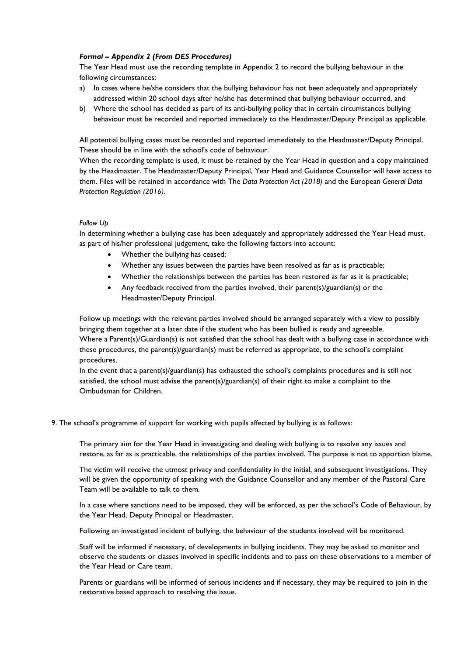## *Formal – Appendix 2 (From DES Procedures)*

The Year Head must use the recording template in Appendix 2 to record the bullying behaviour in the following circumstances:

- a) In cases where he/she considers that the bullying behaviour has not been adequately and appropriately addressed within 20 school days after he/she has determined that bullying behaviour occurred, and
- b) Where the school has decided as part of its anti-bullying policy that in certain circumstances bullying behaviour must be recorded and reported immediately to the Headmaster/Deputy Principal as applicable.

All potential bullying cases must be recorded and reported immediately to the Headmaster/Deputy Principal. These should be in line with the school's code of behaviour.

When the recording template is used, it must be retained by the Year Head in question and a copy maintained by the Headmaster. The Headmaster/Deputy Principal, Year Head and Guidance Counsellor will have access to them. Files will be retained in accordance with The *Data Protection Act (2018)* and the European *General Data Protection Regulation (2016).*

## *Follow Up*

In determining whether a bullying case has been adequately and appropriately addressed the Year Head must, as part of his/her professional judgement, take the following factors into account:

- Whether the bullying has ceased;
- Whether any issues between the parties have been resolved as far as is practicable;
- Whether the relationships between the parties has been restored as far as it is practicable;
- Any feedback received from the parties involved, their parent(s)/guardian(s) or the Headmaster/Deputy Principal.

Follow up meetings with the relevant parties involved should be arranged separately with a view to possibly bringing them together at a later date if the student who has been bullied is ready and agreeable. Where a Parent(s)/Guardian(s) is not satisfied that the school has dealt with a bullying case in accordance with these procedures, the parent(s)/guardian(s) must be referred as appropriate, to the school's complaint procedures.

In the event that a parent(s)/guardian(s) has exhausted the school's complaints procedures and is still not satisfied, the school must advise the parent(s)/guardian(s) of their right to make a complaint to the Ombudsman for Children.

9. The school's programme of support for working with pupils affected by bullying is as follows:

The primary aim for the Year Head in investigating and dealing with bullying is to resolve any issues and restore, as far as is practicable, the relationships of the parties involved. The purpose is not to apportion blame.

The victim will receive the utmost privacy and confidentiality in the initial, and subsequent investigations. They will be given the opportunity of speaking with the Guidance Counsellor and any member of the Pastoral Care Team will be available to talk to them.

In a case where sanctions need to be imposed, they will be enforced, as per the school's Code of Behaviour, by the Year Head, Deputy Principal or Headmaster.

Following an investigated incident of bullying, the behaviour of the students involved will be monitored.

Staff will be informed if necessary, of developments in bullying incidents. They may be asked to monitor and observe the students or classes involved in specific incidents and to pass on these observations to a member of the Year Head or Care team.

Parents or guardians will be informed of serious incidents and if necessary, they may be required to join in the restorative based approach to resolving the issue.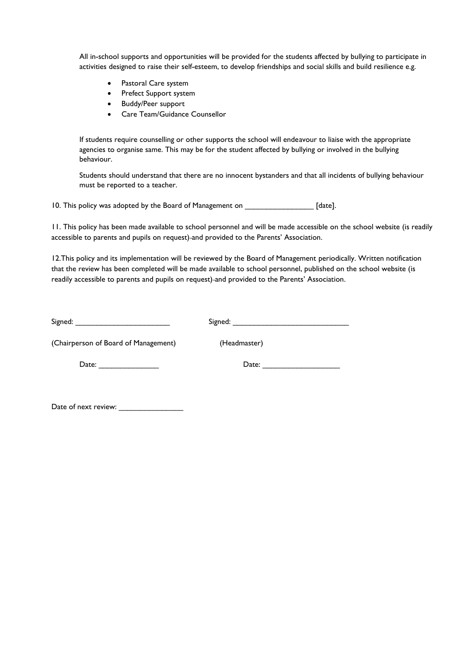All in-school supports and opportunities will be provided for the students affected by bullying to participate in activities designed to raise their self-esteem, to develop friendships and social skills and build resilience e.g.

- Pastoral Care system
- Prefect Support system
- Buddy/Peer support
- Care Team/Guidance Counsellor

If students require counselling or other supports the school will endeavour to liaise with the appropriate agencies to organise same. This may be for the student affected by bullying or involved in the bullying behaviour.

Students should understand that there are no innocent bystanders and that all incidents of bullying behaviour must be reported to a teacher.

10. This policy was adopted by the Board of Management on \_\_\_\_\_\_\_\_\_\_\_\_\_\_\_\_\_ [date].

11. This policy has been made available to school personnel and will be made accessible on the school website (is readily accessible to parents and pupils on request) and provided to the Parents' Association.

12.This policy and its implementation will be reviewed by the Board of Management periodically. Written notification that the review has been completed will be made available to school personnel, published on the school website (is readily accessible to parents and pupils on request) and provided to the Parents' Association.

| Signed:                              | Signed:      |  |
|--------------------------------------|--------------|--|
| (Chairperson of Board of Management) | (Headmaster) |  |
| Date:                                | Date:        |  |

Date of next review: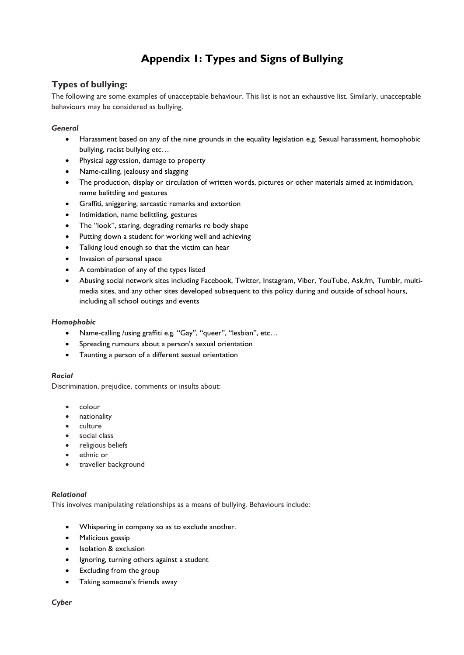## **Appendix 1: Types and Signs of Bullying**

## **Types of bullying:**

The following are some examples of unacceptable behaviour. This list is not an exhaustive list. Similarly, unacceptable behaviours may be considered as bullying.

## *General*

- Harassment based on any of the nine grounds in the equality legislation e.g. Sexual harassment, homophobic bullying, racist bullying etc…
- Physical aggression, damage to property
- Name-calling, jealousy and slagging
- The production, display or circulation of written words, pictures or other materials aimed at intimidation, name belittling and gestures
- Graffiti, sniggering, sarcastic remarks and extortion
- Intimidation, name belittling, gestures
- The "look", staring, degrading remarks re body shape
- Putting down a student for working well and achieving
- Talking loud enough so that the victim can hear
- Invasion of personal space
- A combination of any of the types listed
- Abusing social network sites including Facebook, Twitter, Instagram, Viber, YouTube, Ask.fm, Tumblr, multimedia sites, and any other sites developed subsequent to this policy during and outside of school hours, including all school outings and events

## *Homophobic*

- Name-calling /using graffiti e.g. "Gay", "queer", "lesbian", etc…
- Spreading rumours about a person's sexual orientation
- Taunting a person of a different sexual orientation

## *Racial*

Discrimination, prejudice, comments or insults about:

- colour
- nationality
- culture
- social class
- religious beliefs
- ethnic or
- traveller background

## *Relational*

This involves manipulating relationships as a means of bullying. Behaviours include:

- Whispering in company so as to exclude another.
- Malicious gossip
- Isolation & exclusion
- Ignoring, turning others against a student
- Excluding from the group
- Taking someone's friends away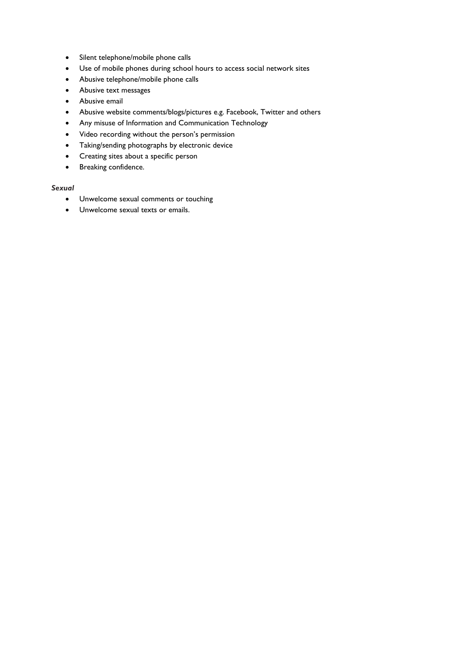- Silent telephone/mobile phone calls
- Use of mobile phones during school hours to access social network sites
- Abusive telephone/mobile phone calls
- Abusive text messages
- Abusive email
- Abusive website comments/blogs/pictures e.g. Facebook, Twitter and others
- Any misuse of Information and Communication Technology
- Video recording without the person's permission
- Taking/sending photographs by electronic device
- Creating sites about a specific person
- Breaking confidence.

## *Sexual*

- Unwelcome sexual comments or touching
- Unwelcome sexual texts or emails.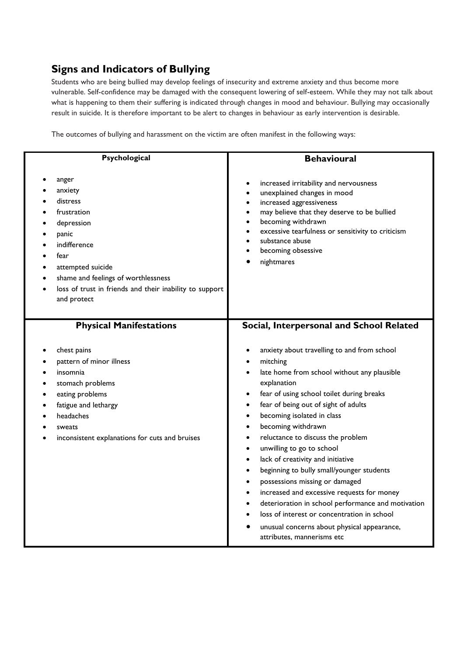## **Signs and Indicators of Bullying**

Students who are being bullied may develop feelings of insecurity and extreme anxiety and thus become more vulnerable. Self-confidence may be damaged with the consequent lowering of self-esteem. While they may not talk about what is happening to them their suffering is indicated through changes in mood and behaviour. Bullying may occasionally result in suicide. It is therefore important to be alert to changes in behaviour as early intervention is desirable.

The outcomes of bullying and harassment on the victim are often manifest in the following ways:

| Psychological                                                                                                                                                                                                                                              | <b>Behavioural</b>                                                                                                                                                                                                                                                                                                                                                                                                                                                                                                                                                                                                                                                                                                                                                                                             |  |
|------------------------------------------------------------------------------------------------------------------------------------------------------------------------------------------------------------------------------------------------------------|----------------------------------------------------------------------------------------------------------------------------------------------------------------------------------------------------------------------------------------------------------------------------------------------------------------------------------------------------------------------------------------------------------------------------------------------------------------------------------------------------------------------------------------------------------------------------------------------------------------------------------------------------------------------------------------------------------------------------------------------------------------------------------------------------------------|--|
| anger<br>anxiety<br>distress<br>frustration<br>depression<br>panic<br>indifference<br>fear<br>attempted suicide<br>shame and feelings of worthlessness<br>$\bullet$<br>loss of trust in friends and their inability to support<br>$\bullet$<br>and protect | increased irritability and nervousness<br>$\bullet$<br>unexplained changes in mood<br>increased aggressiveness<br>may believe that they deserve to be bullied<br>becoming withdrawn<br>excessive tearfulness or sensitivity to criticism<br>substance abuse<br>becoming obsessive<br>nightmares                                                                                                                                                                                                                                                                                                                                                                                                                                                                                                                |  |
| <b>Physical Manifestations</b><br>chest pains<br>pattern of minor illness<br>insomnia<br>stomach problems<br>eating problems<br>fatigue and lethargy<br>$\bullet$<br>headaches<br>sweats<br>inconsistent explanations for cuts and bruises                 | Social, Interpersonal and School Related<br>anxiety about travelling to and from school<br>mitching<br>late home from school without any plausible<br>explanation<br>fear of using school toilet during breaks<br>fear of being out of sight of adults<br>becoming isolated in class<br>$\bullet$<br>becoming withdrawn<br>$\bullet$<br>reluctance to discuss the problem<br>$\bullet$<br>unwilling to go to school<br>$\bullet$<br>lack of creativity and initiative<br>beginning to bully small/younger students<br>possessions missing or damaged<br>$\bullet$<br>increased and excessive requests for money<br>$\bullet$<br>deterioration in school performance and motivation<br>loss of interest or concentration in school<br>unusual concerns about physical appearance,<br>attributes, mannerisms etc |  |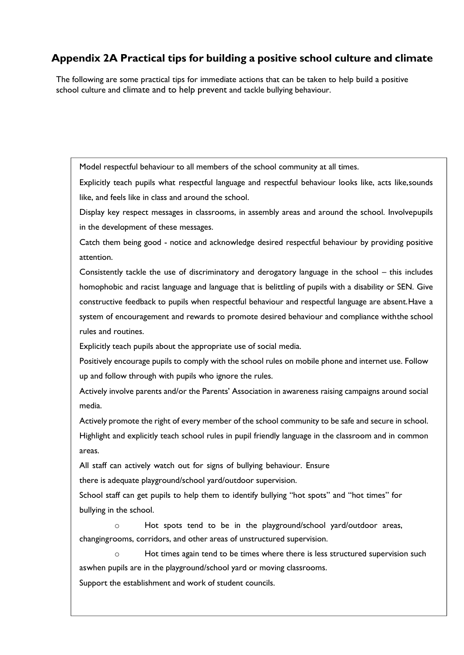## **Appendix 2A Practical tips for building a positive school culture and climate**

The following are some practical tips for immediate actions that can be taken to help build a positive school culture and climate and to help prevent and tackle bullying behaviour.

Model respectful behaviour to all members of the school community at all times.

Explicitly teach pupils what respectful language and respectful behaviour looks like, acts like,sounds like, and feels like in class and around the school.

Display key respect messages in classrooms, in assembly areas and around the school. Involvepupils in the development of these messages.

Catch them being good - notice and acknowledge desired respectful behaviour by providing positive attention.

Consistently tackle the use of discriminatory and derogatory language in the school – this includes homophobic and racist language and language that is belittling of pupils with a disability or SEN. Give constructive feedback to pupils when respectful behaviour and respectful language are absent.Have a system of encouragement and rewards to promote desired behaviour and compliance withthe school rules and routines.

Explicitly teach pupils about the appropriate use of social media.

Positively encourage pupils to comply with the school rules on mobile phone and internet use. Follow up and follow through with pupils who ignore the rules.

Actively involve parents and/or the Parents' Association in awareness raising campaigns around social media.

Actively promote the right of every member of the school community to be safe and secure in school. Highlight and explicitly teach school rules in pupil friendly language in the classroom and in common areas.

All staff can actively watch out for signs of bullying behaviour. Ensure

there is adequate playground/school yard/outdoor supervision.

School staff can get pupils to help them to identify bullying "hot spots" and "hot times" for bullying in the school.

o Hot spots tend to be in the playground/school yard/outdoor areas, changingrooms, corridors, and other areas of unstructured supervision.

Hot times again tend to be times where there is less structured supervision such aswhen pupils are in the playground/school yard or moving classrooms.

Support the establishment and work of student councils.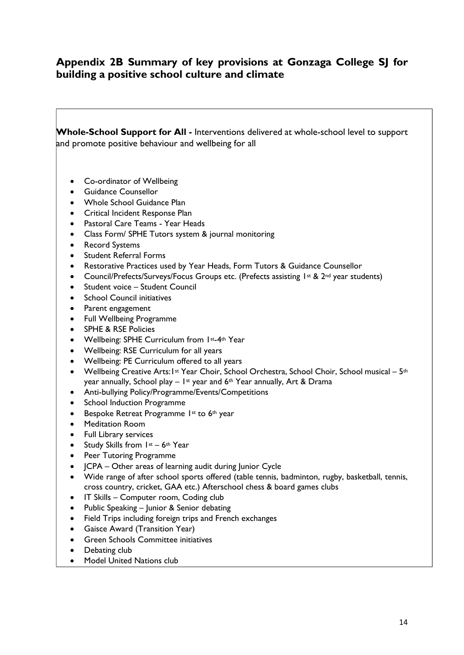## **Appendix 2B Summary of key provisions at Gonzaga College SJ for building a positive school culture and climate**

**Whole-School Support for All -** Interventions delivered at whole-school level to support and promote positive behaviour and wellbeing for all

- Co-ordinator of Wellbeing
- Guidance Counsellor
- Whole School Guidance Plan
- Critical Incident Response Plan
- Pastoral Care Teams Year Heads
- Class Form/ SPHE Tutors system & journal monitoring
- Record Systems
- Student Referral Forms
- Restorative Practices used by Year Heads, Form Tutors & Guidance Counsellor
- Council/Prefects/Surveys/Focus Groups etc. (Prefects assisting 1st & 2<sup>nd</sup> year students)
- Student voice Student Council
- School Council initiatives
- Parent engagement
- Full Wellbeing Programme
- SPHE & RSE Policies
- Wellbeing: SPHE Curriculum from 1st-4th Year
- Wellbeing: RSE Curriculum for all years
- Wellbeing: PE Curriculum offered to all years
- Wellbeing Creative Arts: 1st Year Choir, School Orchestra, School Choir, School musical 5<sup>th</sup> year annually, School play  $-$  1<sup>st</sup> year and 6<sup>th</sup> Year annually, Art & Drama
- Anti-bullying Policy/Programme/Events/Competitions
- School Induction Programme
- Bespoke Retreat Programme 1st to 6th year
- Meditation Room
- Full Library services
- Study Skills from  $1st 6th$  Year
- Peer Tutoring Programme
- ICPA Other areas of learning audit during lunior Cycle
- Wide range of after school sports offered (table tennis, badminton, rugby, basketball, tennis, cross country, cricket, GAA etc.) Afterschool chess & board games clubs
- IT Skills Computer room, Coding club
- Public Speaking Junior & Senior debating
- Field Trips including foreign trips and French exchanges
- Gaisce Award (Transition Year)
- Green Schools Committee initiatives
- Debating club
- Model United Nations club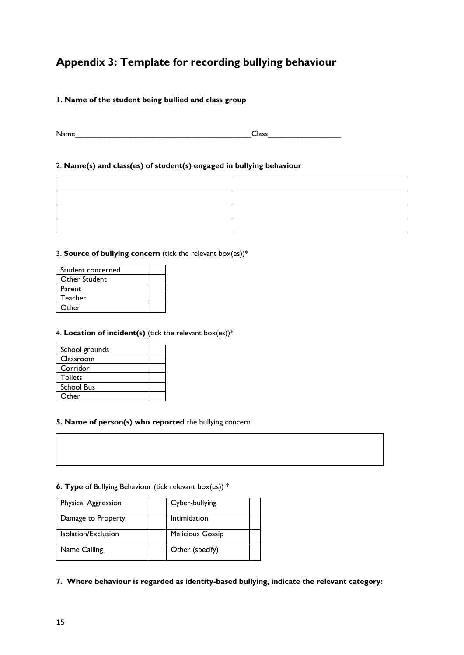## **Appendix 3: Template for recording bullying behaviour**

## **1. Name of the student being bullied and class group**

Name Class

## 2. **Name(s) and class(es) of student(s) engaged in bullying behaviour**

## 3. **Source of bullying concern** (tick the relevant box(es))\*

| Student concerned |  |
|-------------------|--|
| Other Student     |  |
| Parent            |  |
| Teacher           |  |
| Other             |  |

## 4. **Location of incident(s)** (tick the relevant box(es))\*

| School grounds    |  |
|-------------------|--|
| Classroom         |  |
| Corridor          |  |
| <b>Toilets</b>    |  |
| <b>School Bus</b> |  |
| Other             |  |

## **5. Name of person(s) who reported** the bullying concern

## **6. Type** of Bullying Behaviour (tick relevant box(es)) \*

| Physical Aggression | Cyber-bullying          |
|---------------------|-------------------------|
| Damage to Property  | Intimidation            |
| Isolation/Exclusion | <b>Malicious Gossip</b> |
| Name Calling        | Other (specify)         |

**7. Where behaviour is regarded as identity-based bullying, indicate the relevant category:**